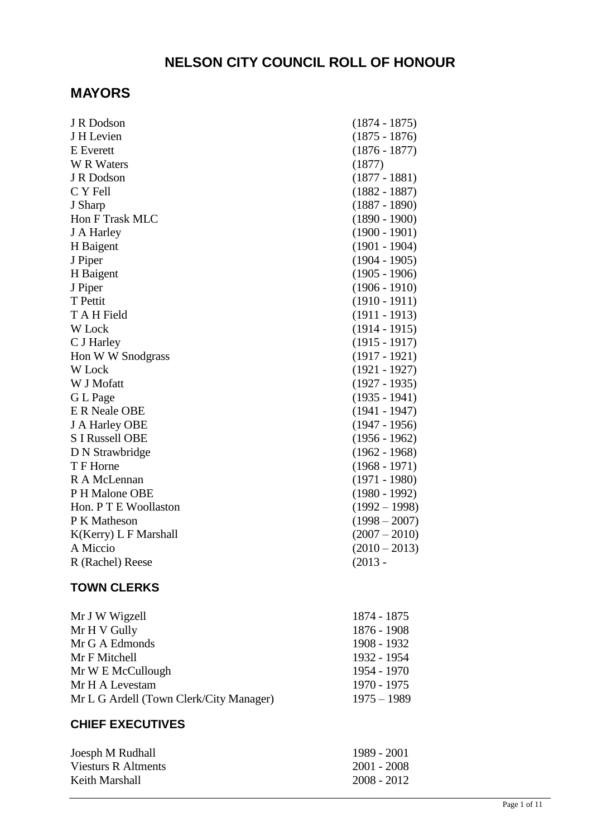# **NELSON CITY COUNCIL ROLL OF HONOUR**

# **MAYORS**

| J H Levien<br><b>E</b> Everett<br><b>W</b> R Waters<br>(1877)<br>J R Dodson<br>C Y Fell<br>J Sharp<br><b>Hon F Trask MLC</b><br>J A Harley<br>H Baigent<br>J Piper<br>H Baigent<br>J Piper<br>T Pettit<br>T A H Field<br>W Lock<br>C J Harley<br>Hon W W Snodgrass<br>W Lock<br>W J Mofatt<br>G L Page<br><b>E R Neale OBE</b><br>J A Harley OBE<br><b>S I Russell OBE</b><br>D N Strawbridge<br>T F Horne<br>R A McLennan<br>P H Malone OBE<br>Hon. P T E Woollaston<br>P K Matheson<br>K(Kerry) L F Marshall<br>A Miccio<br>$(2013 -$<br>R (Rachel) Reese | J R Dodson | $(1874 - 1875)$ |
|-------------------------------------------------------------------------------------------------------------------------------------------------------------------------------------------------------------------------------------------------------------------------------------------------------------------------------------------------------------------------------------------------------------------------------------------------------------------------------------------------------------------------------------------------------------|------------|-----------------|
|                                                                                                                                                                                                                                                                                                                                                                                                                                                                                                                                                             |            | $(1875 - 1876)$ |
|                                                                                                                                                                                                                                                                                                                                                                                                                                                                                                                                                             |            | $(1876 - 1877)$ |
|                                                                                                                                                                                                                                                                                                                                                                                                                                                                                                                                                             |            |                 |
|                                                                                                                                                                                                                                                                                                                                                                                                                                                                                                                                                             |            | $(1877 - 1881)$ |
|                                                                                                                                                                                                                                                                                                                                                                                                                                                                                                                                                             |            | $(1882 - 1887)$ |
|                                                                                                                                                                                                                                                                                                                                                                                                                                                                                                                                                             |            | $(1887 - 1890)$ |
|                                                                                                                                                                                                                                                                                                                                                                                                                                                                                                                                                             |            | $(1890 - 1900)$ |
|                                                                                                                                                                                                                                                                                                                                                                                                                                                                                                                                                             |            | $(1900 - 1901)$ |
|                                                                                                                                                                                                                                                                                                                                                                                                                                                                                                                                                             |            | $(1901 - 1904)$ |
|                                                                                                                                                                                                                                                                                                                                                                                                                                                                                                                                                             |            | $(1904 - 1905)$ |
|                                                                                                                                                                                                                                                                                                                                                                                                                                                                                                                                                             |            | $(1905 - 1906)$ |
|                                                                                                                                                                                                                                                                                                                                                                                                                                                                                                                                                             |            | $(1906 - 1910)$ |
|                                                                                                                                                                                                                                                                                                                                                                                                                                                                                                                                                             |            | $(1910 - 1911)$ |
|                                                                                                                                                                                                                                                                                                                                                                                                                                                                                                                                                             |            | $(1911 - 1913)$ |
|                                                                                                                                                                                                                                                                                                                                                                                                                                                                                                                                                             |            | $(1914 - 1915)$ |
|                                                                                                                                                                                                                                                                                                                                                                                                                                                                                                                                                             |            | $(1915 - 1917)$ |
|                                                                                                                                                                                                                                                                                                                                                                                                                                                                                                                                                             |            | $(1917 - 1921)$ |
|                                                                                                                                                                                                                                                                                                                                                                                                                                                                                                                                                             |            | $(1921 - 1927)$ |
|                                                                                                                                                                                                                                                                                                                                                                                                                                                                                                                                                             |            | $(1927 - 1935)$ |
|                                                                                                                                                                                                                                                                                                                                                                                                                                                                                                                                                             |            | $(1935 - 1941)$ |
|                                                                                                                                                                                                                                                                                                                                                                                                                                                                                                                                                             |            | $(1941 - 1947)$ |
|                                                                                                                                                                                                                                                                                                                                                                                                                                                                                                                                                             |            | $(1947 - 1956)$ |
|                                                                                                                                                                                                                                                                                                                                                                                                                                                                                                                                                             |            | $(1956 - 1962)$ |
|                                                                                                                                                                                                                                                                                                                                                                                                                                                                                                                                                             |            | $(1962 - 1968)$ |
|                                                                                                                                                                                                                                                                                                                                                                                                                                                                                                                                                             |            | $(1968 - 1971)$ |
|                                                                                                                                                                                                                                                                                                                                                                                                                                                                                                                                                             |            | $(1971 - 1980)$ |
|                                                                                                                                                                                                                                                                                                                                                                                                                                                                                                                                                             |            | $(1980 - 1992)$ |
|                                                                                                                                                                                                                                                                                                                                                                                                                                                                                                                                                             |            | $(1992 - 1998)$ |
|                                                                                                                                                                                                                                                                                                                                                                                                                                                                                                                                                             |            | $(1998 - 2007)$ |
|                                                                                                                                                                                                                                                                                                                                                                                                                                                                                                                                                             |            | $(2007 - 2010)$ |
|                                                                                                                                                                                                                                                                                                                                                                                                                                                                                                                                                             |            | $(2010 - 2013)$ |
|                                                                                                                                                                                                                                                                                                                                                                                                                                                                                                                                                             |            |                 |

# **TOWN CLERKS**

| Mr J W Wigzell                          | 1874 - 1875   |
|-----------------------------------------|---------------|
| Mr H V Gully                            | 1876 - 1908   |
| Mr G A Edmonds                          | 1908 - 1932   |
| Mr F Mitchell                           | 1932 - 1954   |
| Mr W E McCullough                       | 1954 - 1970   |
| Mr H A Levestam                         | 1970 - 1975   |
| Mr L G Ardell (Town Clerk/City Manager) | $1975 - 1989$ |
|                                         |               |

# **CHIEF EXECUTIVES**

| Joesph M Rudhall    | 1989 - 2001 |
|---------------------|-------------|
| Viesturs R Altments | 2001 - 2008 |
| Keith Marshall      | 2008 - 2012 |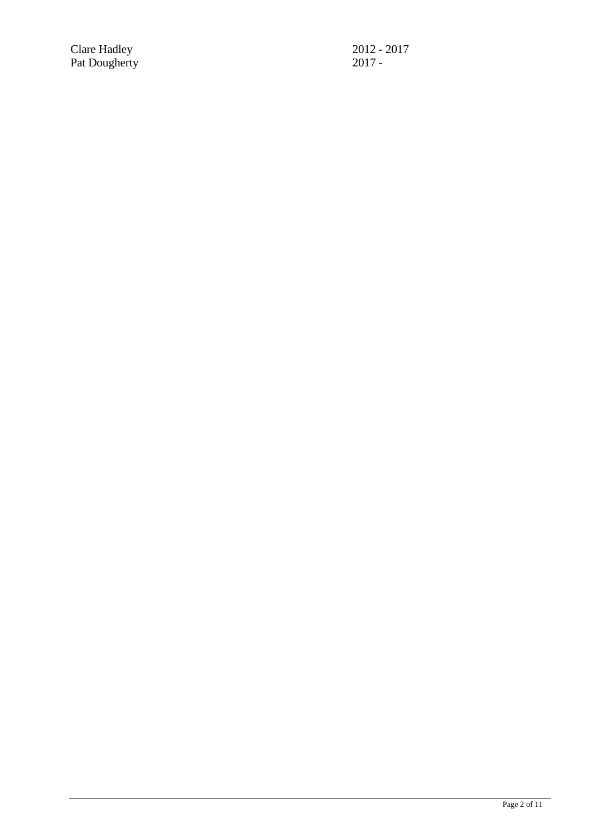Clare Hadley 2012 - 2017 Pat Dougherty 2017 -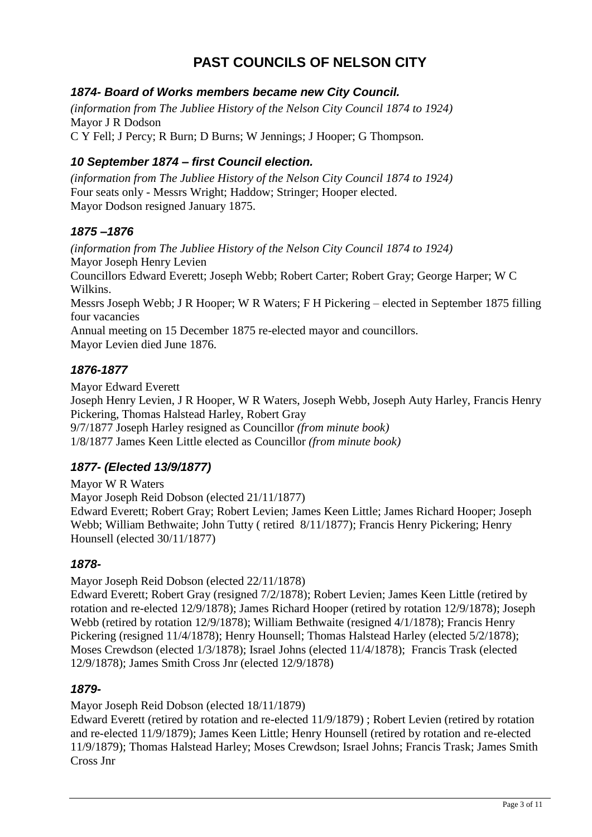# **PAST COUNCILS OF NELSON CITY**

## *1874- Board of Works members became new City Council.*

*(information from The Jubliee History of the Nelson City Council 1874 to 1924)* Mayor J R Dodson C Y Fell; J Percy; R Burn; D Burns; W Jennings; J Hooper; G Thompson.

## *10 September 1874 – first Council election.*

*(information from The Jubliee History of the Nelson City Council 1874 to 1924)* Four seats only - Messrs Wright; Haddow; Stringer; Hooper elected. Mayor Dodson resigned January 1875.

## *1875 –1876*

*(information from The Jubliee History of the Nelson City Council 1874 to 1924)* Mayor Joseph Henry Levien Councillors Edward Everett; Joseph Webb; Robert Carter; Robert Gray; George Harper; W C Wilkins. Messrs Joseph Webb; J R Hooper; W R Waters; F H Pickering – elected in September 1875 filling four vacancies Annual meeting on 15 December 1875 re-elected mayor and councillors. Mayor Levien died June 1876.

## *1876-1877*

Mayor Edward Everett

Joseph Henry Levien, J R Hooper, W R Waters, Joseph Webb, Joseph Auty Harley, Francis Henry Pickering, Thomas Halstead Harley, Robert Gray 9/7/1877 Joseph Harley resigned as Councillor *(from minute book)* 1/8/1877 James Keen Little elected as Councillor *(from minute book)*

# *1877- (Elected 13/9/1877)*

Mayor W R Waters Mayor Joseph Reid Dobson (elected 21/11/1877) Edward Everett; Robert Gray; Robert Levien; James Keen Little; James Richard Hooper; Joseph Webb; William Bethwaite; John Tutty ( retired 8/11/1877); Francis Henry Pickering; Henry Hounsell (elected 30/11/1877)

## *1878-*

Mayor Joseph Reid Dobson (elected 22/11/1878)

Edward Everett; Robert Gray (resigned 7/2/1878); Robert Levien; James Keen Little (retired by rotation and re-elected 12/9/1878); James Richard Hooper (retired by rotation 12/9/1878); Joseph Webb (retired by rotation 12/9/1878); William Bethwaite (resigned 4/1/1878); Francis Henry Pickering (resigned 11/4/1878); Henry Hounsell; Thomas Halstead Harley (elected 5/2/1878); Moses Crewdson (elected 1/3/1878); Israel Johns (elected 11/4/1878); Francis Trask (elected 12/9/1878); James Smith Cross Jnr (elected 12/9/1878)

## *1879-*

Mayor Joseph Reid Dobson (elected 18/11/1879)

Edward Everett (retired by rotation and re-elected 11/9/1879) ; Robert Levien (retired by rotation and re-elected 11/9/1879); James Keen Little; Henry Hounsell (retired by rotation and re-elected 11/9/1879); Thomas Halstead Harley; Moses Crewdson; Israel Johns; Francis Trask; James Smith Cross Jnr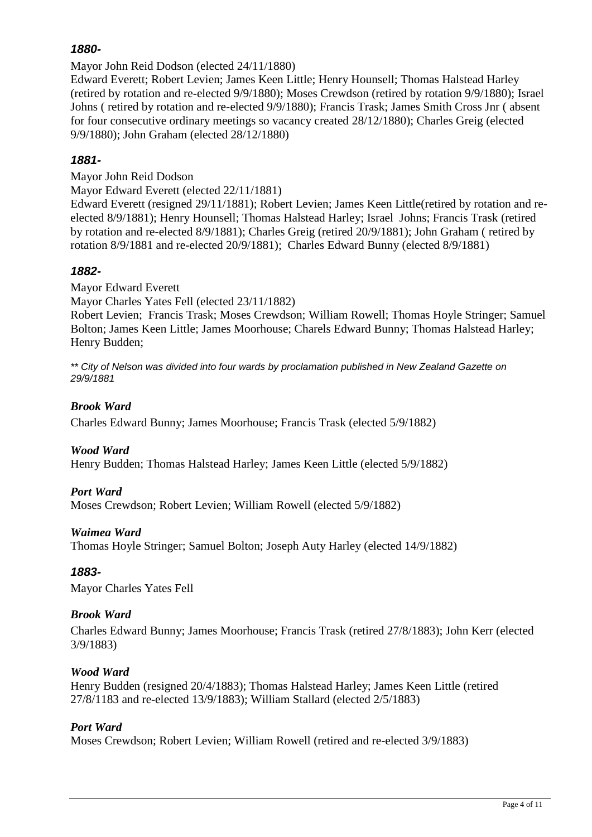Mayor John Reid Dodson (elected 24/11/1880)

Edward Everett; Robert Levien; James Keen Little; Henry Hounsell; Thomas Halstead Harley (retired by rotation and re-elected 9/9/1880); Moses Crewdson (retired by rotation 9/9/1880); Israel Johns ( retired by rotation and re-elected 9/9/1880); Francis Trask; James Smith Cross Jnr ( absent for four consecutive ordinary meetings so vacancy created 28/12/1880); Charles Greig (elected 9/9/1880); John Graham (elected 28/12/1880)

## *1881-*

Mayor John Reid Dodson

Mayor Edward Everett (elected 22/11/1881)

Edward Everett (resigned 29/11/1881); Robert Levien; James Keen Little(retired by rotation and reelected 8/9/1881); Henry Hounsell; Thomas Halstead Harley; Israel Johns; Francis Trask (retired by rotation and re-elected 8/9/1881); Charles Greig (retired 20/9/1881); John Graham ( retired by rotation 8/9/1881 and re-elected 20/9/1881); Charles Edward Bunny (elected 8/9/1881)

## *1882-*

Mayor Edward Everett

Mayor Charles Yates Fell (elected 23/11/1882)

Robert Levien; Francis Trask; Moses Crewdson; William Rowell; Thomas Hoyle Stringer; Samuel Bolton; James Keen Little; James Moorhouse; Charels Edward Bunny; Thomas Halstead Harley; Henry Budden;

*\*\* City of Nelson was divided into four wards by proclamation published in New Zealand Gazette on 29/9/1881* 

## *Brook Ward*

Charles Edward Bunny; James Moorhouse; Francis Trask (elected 5/9/1882)

## *Wood Ward*

Henry Budden; Thomas Halstead Harley; James Keen Little (elected 5/9/1882)

## *Port Ward*

Moses Crewdson; Robert Levien; William Rowell (elected 5/9/1882)

## *Waimea Ward*

Thomas Hoyle Stringer; Samuel Bolton; Joseph Auty Harley (elected 14/9/1882)

## *1883-*

Mayor Charles Yates Fell

## *Brook Ward*

Charles Edward Bunny; James Moorhouse; Francis Trask (retired 27/8/1883); John Kerr (elected 3/9/1883)

## *Wood Ward*

Henry Budden (resigned 20/4/1883); Thomas Halstead Harley; James Keen Little (retired 27/8/1183 and re-elected 13/9/1883); William Stallard (elected 2/5/1883)

## *Port Ward*

Moses Crewdson; Robert Levien; William Rowell (retired and re-elected 3/9/1883)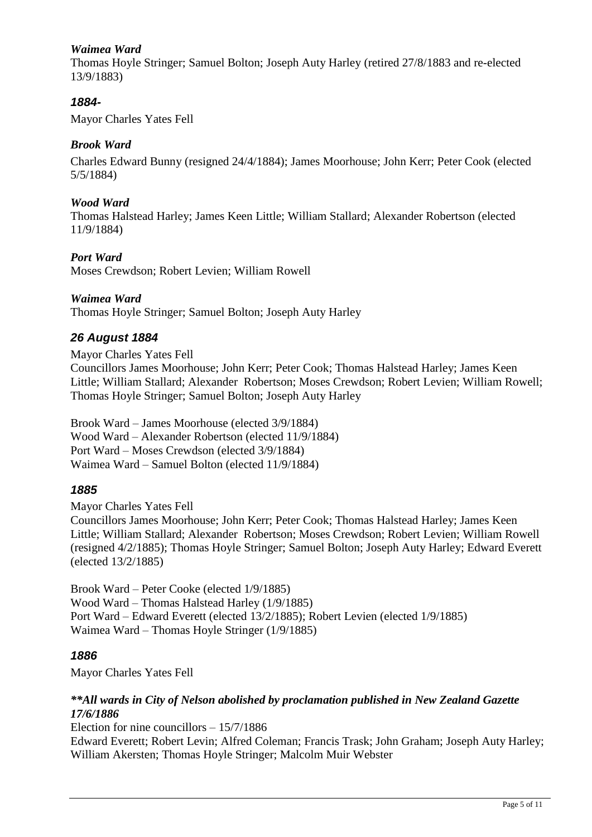## *Waimea Ward*

Thomas Hoyle Stringer; Samuel Bolton; Joseph Auty Harley (retired 27/8/1883 and re-elected 13/9/1883)

## *1884-*

Mayor Charles Yates Fell

## *Brook Ward*

Charles Edward Bunny (resigned 24/4/1884); James Moorhouse; John Kerr; Peter Cook (elected 5/5/1884)

#### *Wood Ward*

Thomas Halstead Harley; James Keen Little; William Stallard; Alexander Robertson (elected 11/9/1884)

## *Port Ward*

Moses Crewdson; Robert Levien; William Rowell

#### *Waimea Ward*

Thomas Hoyle Stringer; Samuel Bolton; Joseph Auty Harley

## *26 August 1884*

Mayor Charles Yates Fell

Councillors James Moorhouse; John Kerr; Peter Cook; Thomas Halstead Harley; James Keen Little; William Stallard; Alexander Robertson; Moses Crewdson; Robert Levien; William Rowell; Thomas Hoyle Stringer; Samuel Bolton; Joseph Auty Harley

Brook Ward – James Moorhouse (elected 3/9/1884) Wood Ward – Alexander Robertson (elected 11/9/1884) Port Ward – Moses Crewdson (elected 3/9/1884) Waimea Ward – Samuel Bolton (elected 11/9/1884)

## *1885*

Mayor Charles Yates Fell

Councillors James Moorhouse; John Kerr; Peter Cook; Thomas Halstead Harley; James Keen Little; William Stallard; Alexander Robertson; Moses Crewdson; Robert Levien; William Rowell (resigned 4/2/1885); Thomas Hoyle Stringer; Samuel Bolton; Joseph Auty Harley; Edward Everett (elected 13/2/1885)

Brook Ward – Peter Cooke (elected 1/9/1885) Wood Ward – Thomas Halstead Harley (1/9/1885) Port Ward – Edward Everett (elected 13/2/1885); Robert Levien (elected 1/9/1885) Waimea Ward – Thomas Hoyle Stringer (1/9/1885)

## *1886*

Mayor Charles Yates Fell

## *\*\*All wards in City of Nelson abolished by proclamation published in New Zealand Gazette 17/6/1886*

Election for nine councillors – 15/7/1886

Edward Everett; Robert Levin; Alfred Coleman; Francis Trask; John Graham; Joseph Auty Harley; William Akersten; Thomas Hoyle Stringer; Malcolm Muir Webster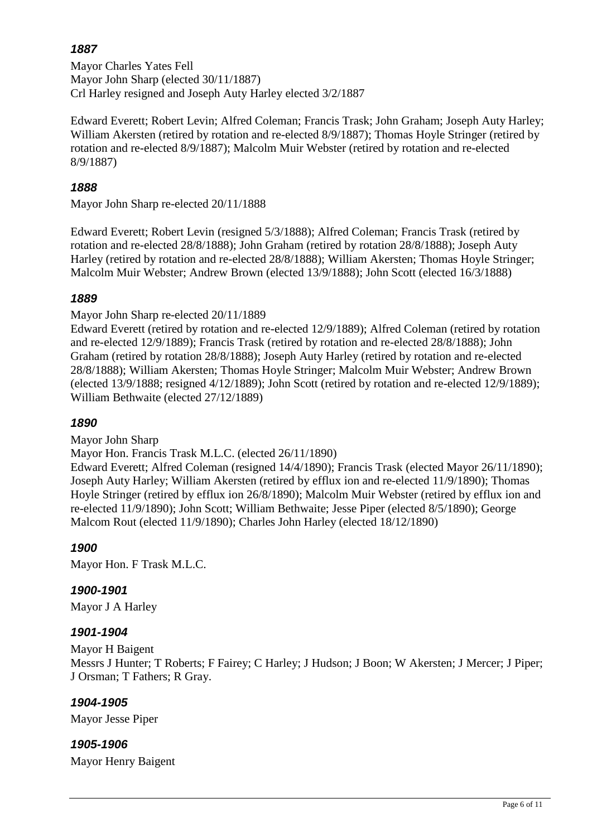# *1887*

Mayor Charles Yates Fell Mayor John Sharp (elected 30/11/1887) Crl Harley resigned and Joseph Auty Harley elected 3/2/1887

Edward Everett; Robert Levin; Alfred Coleman; Francis Trask; John Graham; Joseph Auty Harley; William Akersten (retired by rotation and re-elected 8/9/1887); Thomas Hoyle Stringer (retired by rotation and re-elected 8/9/1887); Malcolm Muir Webster (retired by rotation and re-elected 8/9/1887)

## *1888*

Mayor John Sharp re-elected 20/11/1888

Edward Everett; Robert Levin (resigned 5/3/1888); Alfred Coleman; Francis Trask (retired by rotation and re-elected 28/8/1888); John Graham (retired by rotation 28/8/1888); Joseph Auty Harley (retired by rotation and re-elected 28/8/1888); William Akersten; Thomas Hoyle Stringer; Malcolm Muir Webster; Andrew Brown (elected 13/9/1888); John Scott (elected 16/3/1888)

## *1889*

Mayor John Sharp re-elected 20/11/1889

Edward Everett (retired by rotation and re-elected 12/9/1889); Alfred Coleman (retired by rotation and re-elected 12/9/1889); Francis Trask (retired by rotation and re-elected 28/8/1888); John Graham (retired by rotation 28/8/1888); Joseph Auty Harley (retired by rotation and re-elected 28/8/1888); William Akersten; Thomas Hoyle Stringer; Malcolm Muir Webster; Andrew Brown (elected 13/9/1888; resigned 4/12/1889); John Scott (retired by rotation and re-elected 12/9/1889); William Bethwaite (elected 27/12/1889)

## *1890*

Mayor John Sharp

Mayor Hon. Francis Trask M.L.C. (elected 26/11/1890)

Edward Everett; Alfred Coleman (resigned 14/4/1890); Francis Trask (elected Mayor 26/11/1890); Joseph Auty Harley; William Akersten (retired by efflux ion and re-elected 11/9/1890); Thomas Hoyle Stringer (retired by efflux ion 26/8/1890); Malcolm Muir Webster (retired by efflux ion and re-elected 11/9/1890); John Scott; William Bethwaite; Jesse Piper (elected 8/5/1890); George Malcom Rout (elected 11/9/1890); Charles John Harley (elected 18/12/1890)

## *1900*

Mayor Hon. F Trask M.L.C.

## *1900-1901*

Mayor J A Harley

## *1901-1904*

Mayor H Baigent Messrs J Hunter; T Roberts; F Fairey; C Harley; J Hudson; J Boon; W Akersten; J Mercer; J Piper; J Orsman; T Fathers; R Gray.

## *1904-1905*

Mayor Jesse Piper

## *1905-1906*

Mayor Henry Baigent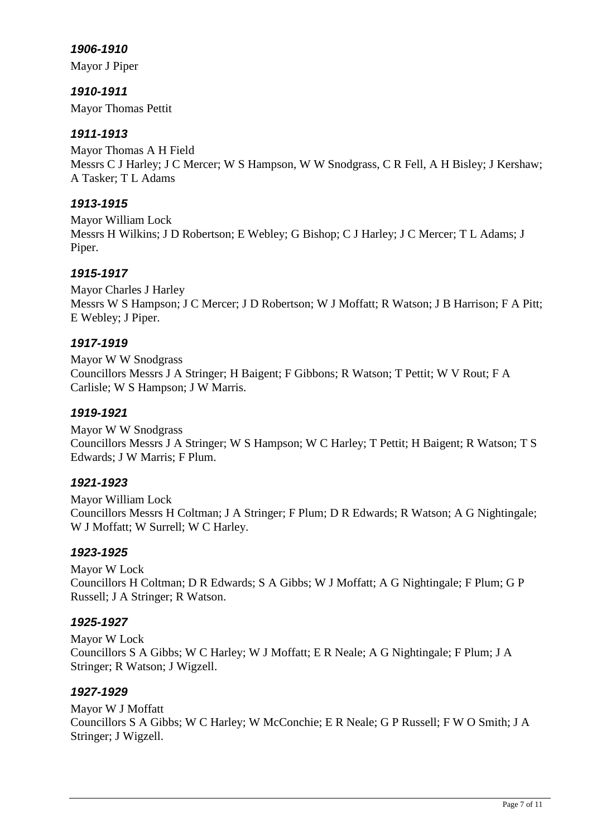Mayor J Piper

*1910-1911* Mayor Thomas Pettit

## *1911-1913*

Mayor Thomas A H Field Messrs C J Harley; J C Mercer; W S Hampson, W W Snodgrass, C R Fell, A H Bisley; J Kershaw; A Tasker; T L Adams

## *1913-1915*

Mayor William Lock Messrs H Wilkins; J D Robertson; E Webley; G Bishop; C J Harley; J C Mercer; T L Adams; J Piper.

## *1915-1917*

Mayor Charles J Harley Messrs W S Hampson; J C Mercer; J D Robertson; W J Moffatt; R Watson; J B Harrison; F A Pitt; E Webley; J Piper.

## *1917-1919*

Mayor W W Snodgrass Councillors Messrs J A Stringer; H Baigent; F Gibbons; R Watson; T Pettit; W V Rout; F A Carlisle; W S Hampson; J W Marris.

## *1919-1921*

Mayor W W Snodgrass Councillors Messrs J A Stringer; W S Hampson; W C Harley; T Pettit; H Baigent; R Watson; T S Edwards; J W Marris; F Plum.

## *1921-1923*

Mayor William Lock Councillors Messrs H Coltman; J A Stringer; F Plum; D R Edwards; R Watson; A G Nightingale; W J Moffatt; W Surrell; W C Harley.

## *1923-1925*

Mayor W Lock Councillors H Coltman; D R Edwards; S A Gibbs; W J Moffatt; A G Nightingale; F Plum; G P Russell; J A Stringer; R Watson.

## *1925-1927*

Mayor W Lock Councillors S A Gibbs; W C Harley; W J Moffatt; E R Neale; A G Nightingale; F Plum; J A Stringer; R Watson; J Wigzell.

## *1927-1929*

Mayor W J Moffatt Councillors S A Gibbs; W C Harley; W McConchie; E R Neale; G P Russell; F W O Smith; J A Stringer; J Wigzell.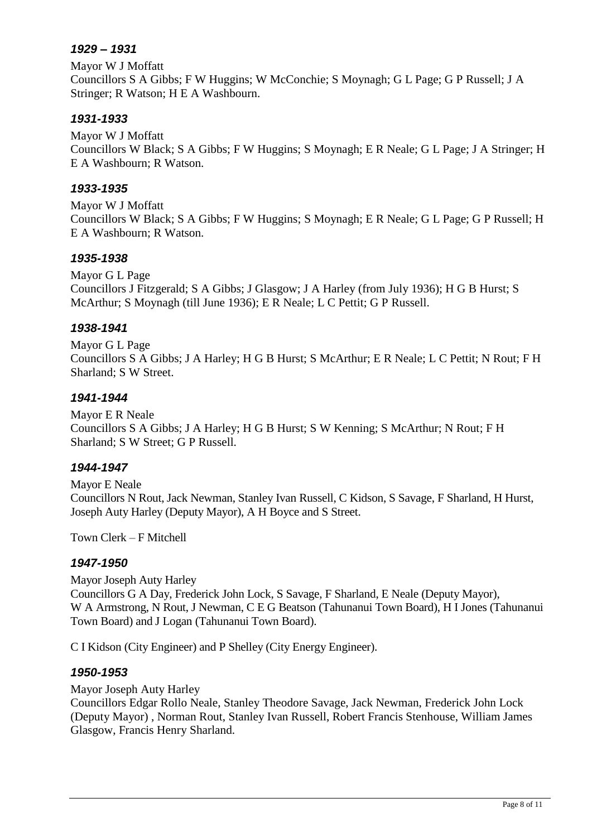## *1929 – 1931*

Mayor W J Moffatt Councillors S A Gibbs; F W Huggins; W McConchie; S Moynagh; G L Page; G P Russell; J A Stringer; R Watson; H E A Washbourn.

# *1931-1933*

Mayor W J Moffatt Councillors W Black; S A Gibbs; F W Huggins; S Moynagh; E R Neale; G L Page; J A Stringer; H E A Washbourn; R Watson.

## *1933-1935*

Mayor W J Moffatt Councillors W Black; S A Gibbs; F W Huggins; S Moynagh; E R Neale; G L Page; G P Russell; H E A Washbourn; R Watson.

# *1935-1938*

Mayor G L Page Councillors J Fitzgerald; S A Gibbs; J Glasgow; J A Harley (from July 1936); H G B Hurst; S McArthur; S Moynagh (till June 1936); E R Neale; L C Pettit; G P Russell.

# *1938-1941*

Mayor G L Page Councillors S A Gibbs; J A Harley; H G B Hurst; S McArthur; E R Neale; L C Pettit; N Rout; F H Sharland; S W Street.

# *1941-1944*

Mayor E R Neale Councillors S A Gibbs; J A Harley; H G B Hurst; S W Kenning; S McArthur; N Rout; F H Sharland; S W Street; G P Russell.

# *1944-1947*

Mayor E Neale Councillors N Rout, Jack Newman, Stanley Ivan Russell, C Kidson, S Savage, F Sharland, H Hurst, Joseph Auty Harley (Deputy Mayor), A H Boyce and S Street.

Town Clerk – F Mitchell

## *1947-1950*

Mayor Joseph Auty Harley Councillors G A Day, Frederick John Lock, S Savage, F Sharland, E Neale (Deputy Mayor), W A Armstrong, N Rout, J Newman, C E G Beatson (Tahunanui Town Board), H I Jones (Tahunanui Town Board) and J Logan (Tahunanui Town Board).

C I Kidson (City Engineer) and P Shelley (City Energy Engineer).

## *1950-1953*

Mayor Joseph Auty Harley

Councillors Edgar Rollo Neale, Stanley Theodore Savage, Jack Newman, Frederick John Lock (Deputy Mayor) , Norman Rout, Stanley Ivan Russell, Robert Francis Stenhouse, William James Glasgow, Francis Henry Sharland.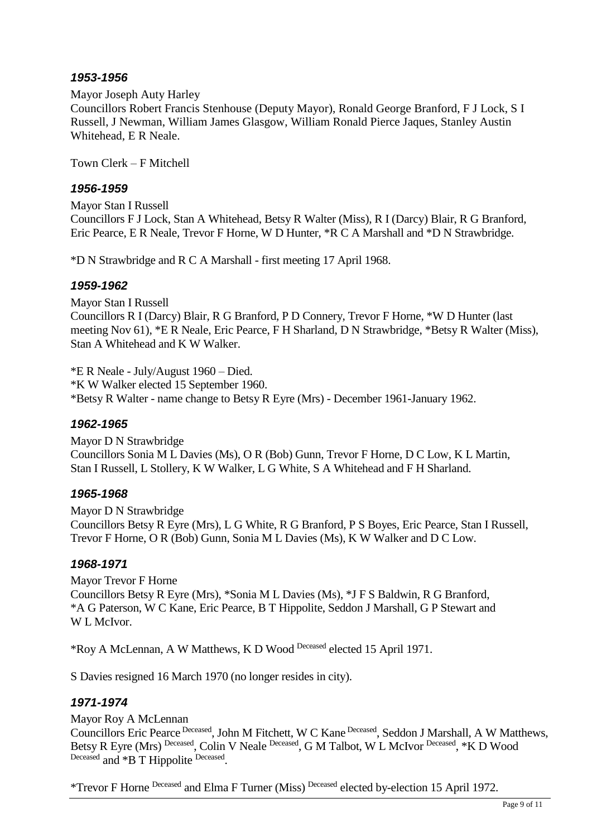#### Mayor Joseph Auty Harley

Councillors Robert Francis Stenhouse (Deputy Mayor), Ronald George Branford, F J Lock, S I Russell, J Newman, William James Glasgow, William Ronald Pierce Jaques, Stanley Austin Whitehead, E R Neale.

Town Clerk – F Mitchell

#### *1956-1959*

Mayor Stan I Russell Councillors F J Lock, Stan A Whitehead, Betsy R Walter (Miss), R I (Darcy) Blair, R G Branford, Eric Pearce, E R Neale, Trevor F Horne, W D Hunter, \*R C A Marshall and \*D N Strawbridge.

\*D N Strawbridge and R C A Marshall - first meeting 17 April 1968.

#### *1959-1962*

Mayor Stan I Russell Councillors R I (Darcy) Blair, R G Branford, P D Connery, Trevor F Horne, \*W D Hunter (last meeting Nov 61), \*E R Neale, Eric Pearce, F H Sharland, D N Strawbridge, \*Betsy R Walter (Miss), Stan A Whitehead and K W Walker.

\*E R Neale - July/August 1960 – Died. \*K W Walker elected 15 September 1960. \*Betsy R Walter - name change to Betsy R Eyre (Mrs) - December 1961-January 1962.

#### *1962-1965*

Mayor D N Strawbridge Councillors Sonia M L Davies (Ms), O R (Bob) Gunn, Trevor F Horne, D C Low, K L Martin, Stan I Russell, L Stollery, K W Walker, L G White, S A Whitehead and F H Sharland.

## *1965-1968*

Mayor D N Strawbridge Councillors Betsy R Eyre (Mrs), L G White, R G Branford, P S Boyes, Eric Pearce, Stan I Russell, Trevor F Horne, O R (Bob) Gunn, Sonia M L Davies (Ms), K W Walker and D C Low.

## *1968-1971*

Mayor Trevor F Horne Councillors Betsy R Eyre (Mrs), \*Sonia M L Davies (Ms), \*J F S Baldwin, R G Branford, \*A G Paterson, W C Kane, Eric Pearce, B T Hippolite, Seddon J Marshall, G P Stewart and W L McIvor.

\*Roy A McLennan, A W Matthews, K D Wood Deceased elected 15 April 1971.

S Davies resigned 16 March 1970 (no longer resides in city).

## *1971-1974*

Mayor Roy A McLennan Councillors Eric Pearce Deceased, John M Fitchett, W C Kane Deceased, Seddon J Marshall, A W Matthews, Betsy R Eyre (Mrs) Deceased, Colin V Neale Deceased, G M Talbot, W L McIvor Deceased, \*K D Wood Deceased and \*B T Hippolite Deceased.

\*Trevor F Horne Deceased and Elma F Turner (Miss) Deceased elected by-election 15 April 1972.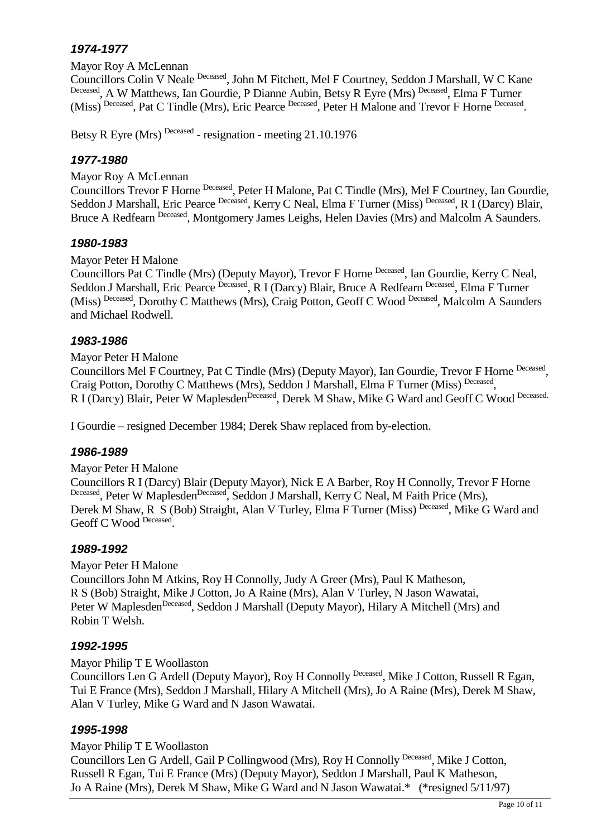Mayor Roy A McLennan

Councillors Colin V Neale Deceased, John M Fitchett, Mel F Courtney, Seddon J Marshall, W C Kane Deceased, A W Matthews, Ian Gourdie, P Dianne Aubin, Betsy R Eyre (Mrs) Deceased, Elma F Turner (Miss) Deceased, Pat C Tindle (Mrs), Eric Pearce Deceased, Peter H Malone and Trevor F Horne Deceased.

Betsy R Eyre (Mrs)<sup>Deceased</sup> - resignation - meeting 21.10.1976

## *1977-1980*

Mayor Roy A McLennan

Councillors Trevor F Horne Deceased, Peter H Malone, Pat C Tindle (Mrs), Mel F Courtney, Ian Gourdie, Seddon J Marshall, Eric Pearce Deceased, Kerry C Neal, Elma F Turner (Miss) Deceased, R I (Darcy) Blair, Bruce A Redfearn Deceased, Montgomery James Leighs, Helen Davies (Mrs) and Malcolm A Saunders.

#### *1980-1983*

Mayor Peter H Malone

Councillors Pat C Tindle (Mrs) (Deputy Mayor), Trevor F Horne Deceased, Ian Gourdie, Kerry C Neal, Seddon J Marshall, Eric Pearce Deceased, R I (Darcy) Blair, Bruce A Redfearn Deceased, Elma F Turner (Miss) Deceased, Dorothy C Matthews (Mrs), Craig Potton, Geoff C Wood Deceased, Malcolm A Saunders and Michael Rodwell.

## *1983-1986*

Mayor Peter H Malone

Councillors Mel F Courtney, Pat C Tindle (Mrs) (Deputy Mayor), Ian Gourdie, Trevor F Horne Deceased, Craig Potton, Dorothy C Matthews (Mrs), Seddon J Marshall, Elma F Turner (Miss) Deceased, R I (Darcy) Blair, Peter W Maplesden<sup>Deceased</sup>, Derek M Shaw, Mike G Ward and Geoff C Wood Deceased.

I Gourdie – resigned December 1984; Derek Shaw replaced from by-election.

## *1986-1989*

Mayor Peter H Malone Councillors R I (Darcy) Blair (Deputy Mayor), Nick E A Barber, Roy H Connolly, Trevor F Horne Deceased, Peter W Maplesden<sup>Deceased</sup>, Seddon J Marshall, Kerry C Neal, M Faith Price (Mrs), Derek M Shaw, R S (Bob) Straight, Alan V Turley, Elma F Turner (Miss) Deceased, Mike G Ward and Geoff C Wood Deceased.

## *1989-1992*

Mayor Peter H Malone Councillors John M Atkins, Roy H Connolly, Judy A Greer (Mrs), Paul K Matheson, R S (Bob) Straight, Mike J Cotton, Jo A Raine (Mrs), Alan V Turley, N Jason Wawatai, Peter W Maplesden<sup>Deceased</sup>, Seddon J Marshall (Deputy Mayor), Hilary A Mitchell (Mrs) and Robin T Welsh.

## *1992-1995*

Mayor Philip T E Woollaston

Councillors Len G Ardell (Deputy Mayor), Roy H Connolly Deceased, Mike J Cotton, Russell R Egan, Tui E France (Mrs), Seddon J Marshall, Hilary A Mitchell (Mrs), Jo A Raine (Mrs), Derek M Shaw, Alan V Turley, Mike G Ward and N Jason Wawatai.

## *1995-1998*

Mayor Philip T E Woollaston

Councillors Len G Ardell, Gail P Collingwood (Mrs), Roy H Connolly Deceased, Mike J Cotton, Russell R Egan, Tui E France (Mrs) (Deputy Mayor), Seddon J Marshall, Paul K Matheson, Jo A Raine (Mrs), Derek M Shaw, Mike G Ward and N Jason Wawatai.\* (\*resigned 5/11/97)